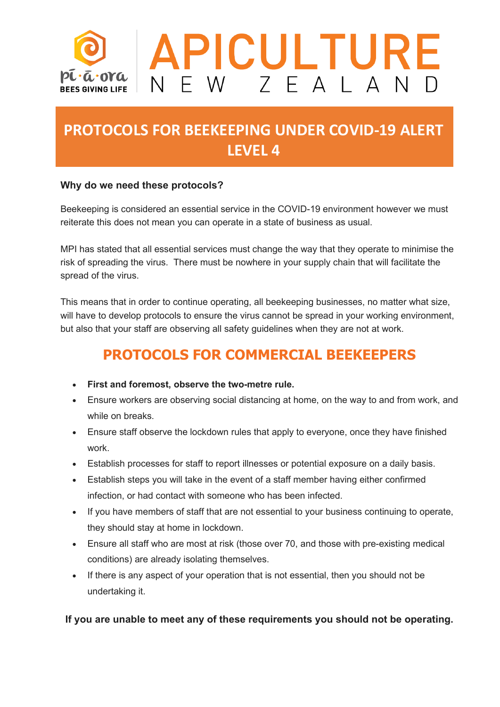

# **PROTOCOLS FOR BEEKEEPING UNDER COVID-19 ALERT LEVEL 4**

#### **Why do we need these protocols?**

Beekeeping is considered an essential service in the COVID-19 environment however we must reiterate this does not mean you can operate in a state of business as usual.

MPI has stated that all essential services must change the way that they operate to minimise the risk of spreading the virus. There must be nowhere in your supply chain that will facilitate the spread of the virus.

This means that in order to continue operating, all beekeeping businesses, no matter what size, will have to develop protocols to ensure the virus cannot be spread in your working environment, but also that your staff are observing all safety guidelines when they are not at work.

### **PROTOCOLS FOR COMMERCIAL BEEKEEPERS**

- **First and foremost, observe the two-metre rule.**
- Ensure workers are observing social distancing at home, on the way to and from work, and while on breaks.
- Ensure staff observe the lockdown rules that apply to everyone, once they have finished work.
- Establish processes for staff to report illnesses or potential exposure on a daily basis.
- Establish steps you will take in the event of a staff member having either confirmed infection, or had contact with someone who has been infected.
- If you have members of staff that are not essential to your business continuing to operate, they should stay at home in lockdown.
- Ensure all staff who are most at risk (those over 70, and those with pre-existing medical conditions) are already isolating themselves.
- If there is any aspect of your operation that is not essential, then you should not be undertaking it.

**If you are unable to meet any of these requirements you should not be operating.**